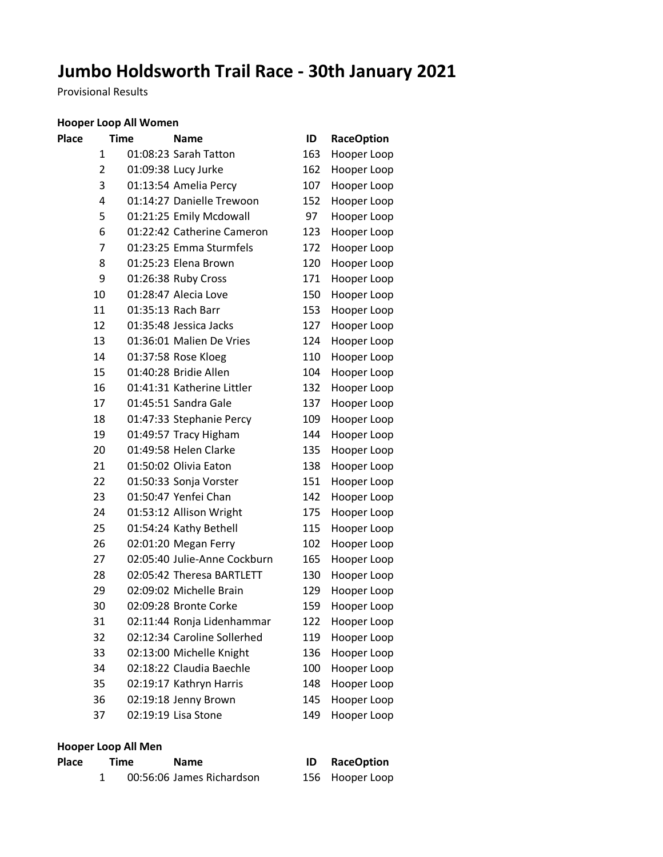# **Jumbo Holdsworth Trail Race - 30th January 2021**

Provisional Results

# **Hooper Loop All Women**

| Place | <b>Time</b>    | <b>Name</b>                  | ID  | <b>RaceOption</b> |
|-------|----------------|------------------------------|-----|-------------------|
|       | 1              | 01:08:23 Sarah Tatton        | 163 | Hooper Loop       |
|       | $\overline{2}$ | 01:09:38 Lucy Jurke          | 162 | Hooper Loop       |
|       | 3              | 01:13:54 Amelia Percy        | 107 | Hooper Loop       |
|       | 4              | 01:14:27 Danielle Trewoon    | 152 | Hooper Loop       |
|       | 5              | 01:21:25 Emily Mcdowall      | 97  | Hooper Loop       |
|       | 6              | 01:22:42 Catherine Cameron   | 123 | Hooper Loop       |
|       | 7              | 01:23:25 Emma Sturmfels      | 172 | Hooper Loop       |
|       | 8              | 01:25:23 Elena Brown         | 120 | Hooper Loop       |
|       | 9              | 01:26:38 Ruby Cross          | 171 | Hooper Loop       |
|       | 10             | 01:28:47 Alecia Love         | 150 | Hooper Loop       |
|       | 11             | 01:35:13 Rach Barr           | 153 | Hooper Loop       |
|       | 12             | 01:35:48 Jessica Jacks       | 127 | Hooper Loop       |
|       | 13             | 01:36:01 Malien De Vries     | 124 | Hooper Loop       |
|       | 14             | 01:37:58 Rose Kloeg          | 110 | Hooper Loop       |
|       | 15             | 01:40:28 Bridie Allen        | 104 | Hooper Loop       |
|       | 16             | 01:41:31 Katherine Littler   | 132 | Hooper Loop       |
|       | 17             | 01:45:51 Sandra Gale         | 137 | Hooper Loop       |
|       | 18             | 01:47:33 Stephanie Percy     | 109 | Hooper Loop       |
|       | 19             | 01:49:57 Tracy Higham        | 144 | Hooper Loop       |
|       | 20             | 01:49:58 Helen Clarke        | 135 | Hooper Loop       |
|       | 21             | 01:50:02 Olivia Eaton        | 138 | Hooper Loop       |
|       | 22             | 01:50:33 Sonja Vorster       | 151 | Hooper Loop       |
|       | 23             | 01:50:47 Yenfei Chan         | 142 | Hooper Loop       |
|       | 24             | 01:53:12 Allison Wright      | 175 | Hooper Loop       |
|       | 25             | 01:54:24 Kathy Bethell       | 115 | Hooper Loop       |
|       | 26             | 02:01:20 Megan Ferry         | 102 | Hooper Loop       |
|       | 27             | 02:05:40 Julie-Anne Cockburn | 165 | Hooper Loop       |
|       | 28             | 02:05:42 Theresa BARTLETT    | 130 | Hooper Loop       |
|       | 29             | 02:09:02 Michelle Brain      | 129 | Hooper Loop       |
|       | 30             | 02:09:28 Bronte Corke        | 159 | Hooper Loop       |
|       | 31             | 02:11:44 Ronja Lidenhammar   | 122 | Hooper Loop       |
|       | 32             | 02:12:34 Caroline Sollerhed  | 119 | Hooper Loop       |
|       | 33             | 02:13:00 Michelle Knight     | 136 | Hooper Loop       |
|       | 34             | 02:18:22 Claudia Baechle     | 100 | Hooper Loop       |
|       | 35             | 02:19:17 Kathryn Harris      | 148 | Hooper Loop       |
|       | 36             | 02:19:18 Jenny Brown         | 145 | Hooper Loop       |
|       | 37             | 02:19:19 Lisa Stone          | 149 | Hooper Loop       |

# **Hooper Loop All Men**

| Place | Time | <b>Name</b>               | <b>ID</b> RaceOption |
|-------|------|---------------------------|----------------------|
|       |      | 00:56:06 James Richardson | 156 Hooper Loop      |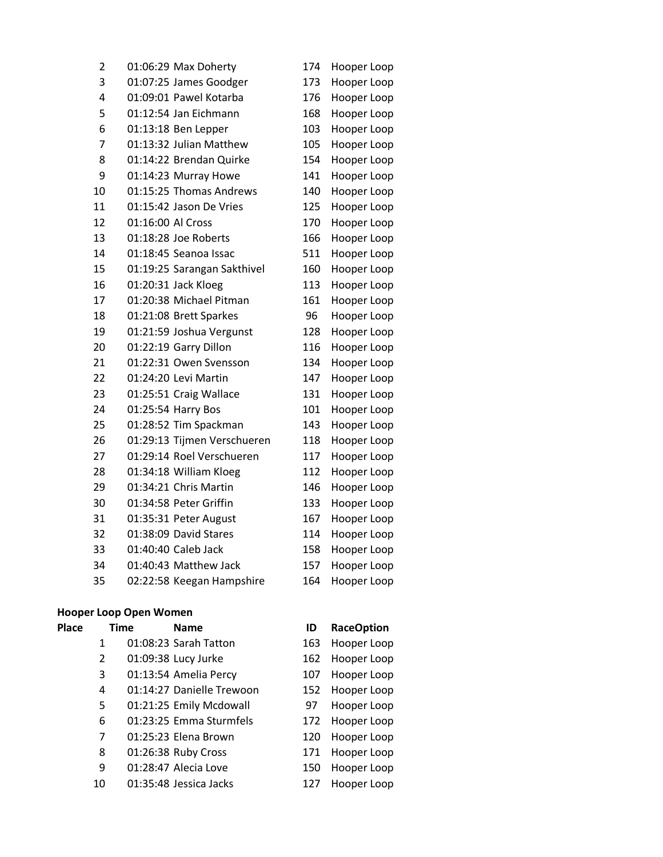| 01:07:25 James Goodger      | 173                                                                                                                    | Hooper Loop |
|-----------------------------|------------------------------------------------------------------------------------------------------------------------|-------------|
| 01:09:01 Pawel Kotarba      | 176                                                                                                                    | Hooper Loop |
| 01:12:54 Jan Eichmann       | 168                                                                                                                    | Hooper Loop |
| 01:13:18 Ben Lepper         | 103                                                                                                                    | Hooper Loop |
| 01:13:32 Julian Matthew     | 105                                                                                                                    | Hooper Loop |
| 01:14:22 Brendan Quirke     | 154                                                                                                                    | Hooper Loop |
| 01:14:23 Murray Howe        | 141                                                                                                                    | Hooper Loop |
| 01:15:25 Thomas Andrews     | 140                                                                                                                    | Hooper Loop |
| 01:15:42 Jason De Vries     | 125                                                                                                                    | Hooper Loop |
| 01:16:00 Al Cross           | 170                                                                                                                    | Hooper Loop |
| 01:18:28 Joe Roberts        | 166                                                                                                                    | Hooper Loop |
| 01:18:45 Seanoa Issac       | 511                                                                                                                    | Hooper Loop |
| 01:19:25 Sarangan Sakthivel | 160                                                                                                                    | Hooper Loop |
| 01:20:31 Jack Kloeg         | 113                                                                                                                    | Hooper Loop |
| 01:20:38 Michael Pitman     | 161                                                                                                                    | Hooper Loop |
| 01:21:08 Brett Sparkes      | 96                                                                                                                     | Hooper Loop |
| 01:21:59 Joshua Vergunst    | 128                                                                                                                    | Hooper Loop |
| 01:22:19 Garry Dillon       | 116                                                                                                                    | Hooper Loop |
| 01:22:31 Owen Svensson      | 134                                                                                                                    | Hooper Loop |
|                             | 147                                                                                                                    | Hooper Loop |
| 01:25:51 Craig Wallace      | 131                                                                                                                    | Hooper Loop |
|                             | 101                                                                                                                    | Hooper Loop |
| 01:28:52 Tim Spackman       | 143                                                                                                                    | Hooper Loop |
| 01:29:13 Tijmen Verschueren | 118                                                                                                                    | Hooper Loop |
| 01:29:14 Roel Verschueren   | 117                                                                                                                    | Hooper Loop |
| 01:34:18 William Kloeg      | 112                                                                                                                    | Hooper Loop |
| 01:34:21 Chris Martin       | 146                                                                                                                    | Hooper Loop |
|                             | 133                                                                                                                    | Hooper Loop |
|                             | 167                                                                                                                    | Hooper Loop |
|                             | 114                                                                                                                    | Hooper Loop |
| 01:40:40 Caleb Jack         | 158                                                                                                                    | Hooper Loop |
| 01:40:43 Matthew Jack       | 157                                                                                                                    | Hooper Loop |
| 02:22:58 Keegan Hampshire   | 164                                                                                                                    | Hooper Loop |
|                             | 01:24:20 Levi Martin<br>01:25:54 Harry Bos<br>01:34:58 Peter Griffin<br>01:35:31 Peter August<br>01:38:09 David Stares |             |

# **Hooper Loop Open Women**

| <b>Place</b> | Time                  | <b>Name</b>               | ID  | <b>RaceOption</b> |
|--------------|-----------------------|---------------------------|-----|-------------------|
|              | 1                     | 01:08:23 Sarah Tatton     | 163 | Hooper Loop       |
|              | $\mathbf{2}^{\prime}$ | 01:09:38 Lucy Jurke       | 162 | Hooper Loop       |
|              | 3                     | 01:13:54 Amelia Percy     | 107 | Hooper Loop       |
|              | 4                     | 01:14:27 Danielle Trewoon | 152 | Hooper Loop       |
|              | 5                     | 01:21:25 Emily Mcdowall   | 97  | Hooper Loop       |
|              | 6                     | 01:23:25 Emma Sturmfels   | 172 | Hooper Loop       |
|              | 7                     | 01:25:23 Elena Brown      | 120 | Hooper Loop       |
|              | 8                     | 01:26:38 Ruby Cross       | 171 | Hooper Loop       |
|              | 9                     | 01:28:47 Alecia Love      | 150 | Hooper Loop       |
|              | 10                    | 01:35:48 Jessica Jacks    | 127 | Hooper Loop       |
|              |                       |                           |     |                   |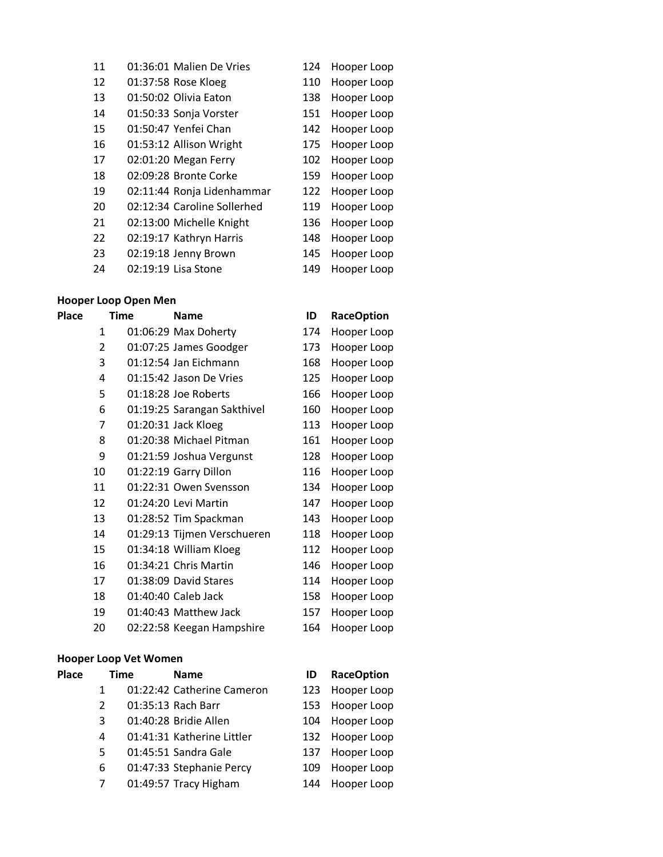| 11 | 01:36:01 Malien De Vries    | 124 | Hooper Loop |
|----|-----------------------------|-----|-------------|
| 12 | 01:37:58 Rose Kloeg         | 110 | Hooper Loop |
| 13 | 01:50:02 Olivia Eaton       | 138 | Hooper Loop |
| 14 | 01:50:33 Sonja Vorster      | 151 | Hooper Loop |
| 15 | 01:50:47 Yenfei Chan        | 142 | Hooper Loop |
| 16 | 01:53:12 Allison Wright     | 175 | Hooper Loop |
| 17 | 02:01:20 Megan Ferry        | 102 | Hooper Loop |
| 18 | 02:09:28 Bronte Corke       | 159 | Hooper Loop |
| 19 | 02:11:44 Ronja Lidenhammar  | 122 | Hooper Loop |
| 20 | 02:12:34 Caroline Sollerhed | 119 | Hooper Loop |
| 21 | 02:13:00 Michelle Knight    | 136 | Hooper Loop |
| 22 | 02:19:17 Kathryn Harris     | 148 | Hooper Loop |
| 23 | 02:19:18 Jenny Brown        | 145 | Hooper Loop |
| 24 | 02:19:19 Lisa Stone         | 149 | Hooper Loop |
|    |                             |     |             |

# **Hooper Loop Open Men**

| <b>Place</b> | Time         | <b>Name</b>                 | ID  | <b>RaceOption</b> |
|--------------|--------------|-----------------------------|-----|-------------------|
|              | $\mathbf{1}$ | 01:06:29 Max Doherty        | 174 | Hooper Loop       |
|              | 2            | 01:07:25 James Goodger      | 173 | Hooper Loop       |
|              | 3            | 01:12:54 Jan Eichmann       | 168 | Hooper Loop       |
|              | 4            | 01:15:42 Jason De Vries     | 125 | Hooper Loop       |
|              | 5            | 01:18:28 Joe Roberts        | 166 | Hooper Loop       |
|              | 6            | 01:19:25 Sarangan Sakthivel | 160 | Hooper Loop       |
|              | 7            | 01:20:31 Jack Kloeg         | 113 | Hooper Loop       |
|              | 8            | 01:20:38 Michael Pitman     | 161 | Hooper Loop       |
|              | 9            | 01:21:59 Joshua Vergunst    | 128 | Hooper Loop       |
|              | 10           | 01:22:19 Garry Dillon       | 116 | Hooper Loop       |
|              | 11           | 01:22:31 Owen Svensson      | 134 | Hooper Loop       |
|              | 12           | 01:24:20 Levi Martin        | 147 | Hooper Loop       |
|              | 13           | 01:28:52 Tim Spackman       | 143 | Hooper Loop       |
|              | 14           | 01:29:13 Tijmen Verschueren | 118 | Hooper Loop       |
|              | 15           | 01:34:18 William Kloeg      | 112 | Hooper Loop       |
|              | 16           | 01:34:21 Chris Martin       | 146 | Hooper Loop       |
|              | 17           | 01:38:09 David Stares       | 114 | Hooper Loop       |
|              | 18           | 01:40:40 Caleb Jack         | 158 | Hooper Loop       |
|              | 19           | 01:40:43 Matthew Jack       | 157 | Hooper Loop       |
|              | 20           | 02:22:58 Keegan Hampshire   | 164 | Hooper Loop       |

# **Hooper Loop Vet Women**

| <b>Place</b> |    | <b>Time</b> | <b>Name</b>                | ID   | <b>RaceOption</b> |
|--------------|----|-------------|----------------------------|------|-------------------|
|              | 1  |             | 01:22:42 Catherine Cameron |      | 123 Hooper Loop   |
|              | 2  |             | 01:35:13 Rach Barr         | 153. | Hooper Loop       |
|              | 3  |             | 01:40:28 Bridie Allen      | 104  | Hooper Loop       |
|              | 4  |             | 01:41:31 Katherine Littler |      | 132 Hooper Loop   |
|              | 5. |             | 01:45:51 Sandra Gale       | 137  | Hooper Loop       |
|              | 6  |             | 01:47:33 Stephanie Percy   | 109  | Hooper Loop       |
|              |    |             | 01:49:57 Tracy Higham      | 144  | Hooper Loop       |
|              |    |             |                            |      |                   |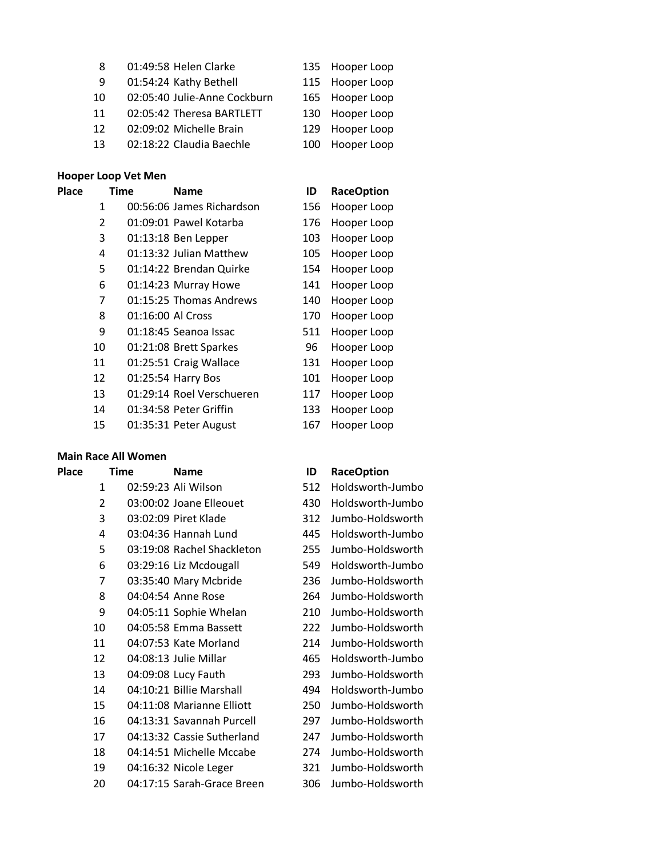| 8  | 01:49:58 Helen Clarke        |     | 135 Hooper Loop |
|----|------------------------------|-----|-----------------|
| 9  | 01:54:24 Kathy Bethell       |     | 115 Hooper Loop |
| 10 | 02:05:40 Julie-Anne Cockburn |     | 165 Hooper Loop |
| 11 | 02:05:42 Theresa BARTLETT    | 130 | Hooper Loop     |
| 12 | 02:09:02 Michelle Brain      | 129 | Hooper Loop     |
| 13 | 02:18:22 Claudia Baechle     | 100 | Hooper Loop     |

### **Hooper Loop Vet Men**

| <b>Place</b>   | Time              | <b>Name</b>               | ID  | <b>RaceOption</b> |
|----------------|-------------------|---------------------------|-----|-------------------|
| 1              |                   | 00:56:06 James Richardson | 156 | Hooper Loop       |
| $\overline{2}$ |                   | 01:09:01 Pawel Kotarba    | 176 | Hooper Loop       |
| 3              |                   | 01:13:18 Ben Lepper       | 103 | Hooper Loop       |
| 4              |                   | 01:13:32 Julian Matthew   | 105 | Hooper Loop       |
| 5              |                   | 01:14:22 Brendan Quirke   | 154 | Hooper Loop       |
| 6              |                   | 01:14:23 Murray Howe      | 141 | Hooper Loop       |
| 7              |                   | 01:15:25 Thomas Andrews   | 140 | Hooper Loop       |
| 8              | 01:16:00 Al Cross |                           | 170 | Hooper Loop       |
| 9              |                   | 01:18:45 Seanoa Issac     | 511 | Hooper Loop       |
| 10             |                   | 01:21:08 Brett Sparkes    | 96  | Hooper Loop       |
| 11             |                   | 01:25:51 Craig Wallace    | 131 | Hooper Loop       |
| 12             |                   | 01:25:54 Harry Bos        | 101 | Hooper Loop       |
| 13             |                   | 01:29:14 Roel Verschueren | 117 | Hooper Loop       |
| 14             |                   | 01:34:58 Peter Griffin    | 133 | Hooper Loop       |
| 15             |                   | 01:35:31 Peter August     | 167 | Hooper Loop       |

### **Main Race All Women**

| Place | <b>Time</b>    | <b>Name</b>                | ID  | <b>RaceOption</b> |
|-------|----------------|----------------------------|-----|-------------------|
|       | $\mathbf{1}$   | 02:59:23 Ali Wilson        | 512 | Holdsworth-Jumbo  |
|       | $\overline{2}$ | 03:00:02 Joane Elleouet    | 430 | Holdsworth-Jumbo  |
|       | 3              | 03:02:09 Piret Klade       | 312 | Jumbo-Holdsworth  |
|       | 4              | 03:04:36 Hannah Lund       | 445 | Holdsworth-Jumbo  |
|       | 5              | 03:19:08 Rachel Shackleton | 255 | Jumbo-Holdsworth  |
|       | 6              | 03:29:16 Liz Mcdougall     | 549 | Holdsworth-Jumbo  |
|       | 7              | 03:35:40 Mary Mcbride      | 236 | Jumbo-Holdsworth  |
|       | 8              | 04:04:54 Anne Rose         | 264 | Jumbo-Holdsworth  |
|       | 9              | 04:05:11 Sophie Whelan     | 210 | Jumbo-Holdsworth  |
|       | 10             | 04:05:58 Emma Bassett      | 222 | Jumbo-Holdsworth  |
|       | 11             | 04:07:53 Kate Morland      | 214 | Jumbo-Holdsworth  |
|       | 12             | 04:08:13 Julie Millar      | 465 | Holdsworth-Jumbo  |
|       | 13             | 04:09:08 Lucy Fauth        | 293 | Jumbo-Holdsworth  |
|       | 14             | 04:10:21 Billie Marshall   | 494 | Holdsworth-Jumbo  |
|       | 15             | 04:11:08 Marianne Elliott  | 250 | Jumbo-Holdsworth  |
|       | 16             | 04:13:31 Savannah Purcell  | 297 | Jumbo-Holdsworth  |
|       | 17             | 04:13:32 Cassie Sutherland | 247 | Jumbo-Holdsworth  |
|       | 18             | 04:14:51 Michelle Mccabe   | 274 | Jumbo-Holdsworth  |
|       | 19             | 04:16:32 Nicole Leger      | 321 | Jumbo-Holdsworth  |
|       | 20             | 04:17:15 Sarah-Grace Breen | 306 | Jumbo-Holdsworth  |
|       |                |                            |     |                   |

| שו  | <b>RaceOption</b> |
|-----|-------------------|
| 512 | Holdsworth-Jumbo  |
| 430 | Holdsworth-Jumbo  |
| 312 | Jumbo-Holdsworth  |
| 445 | Holdsworth-Jumbo  |
| 255 | Jumbo-Holdsworth  |
| 549 | Holdsworth-Jumbo  |
| 236 | Jumbo-Holdsworth  |
| 264 | Jumbo-Holdsworth  |
| 210 | Jumbo-Holdsworth  |
| 222 | Jumbo-Holdsworth  |
| 214 | Jumbo-Holdsworth  |
| 465 | Holdsworth-Jumbo  |
| 293 | Jumbo-Holdsworth  |
| 494 | Holdsworth-Jumbo  |
| 250 | Jumbo-Holdsworth  |
| 297 | Jumbo-Holdsworth  |
| 247 | Jumbo-Holdsworth  |
| 274 | Jumbo-Holdsworth  |
| 321 | Jumbo-Holdsworth  |
| 306 | Jumbo-Holdsworth  |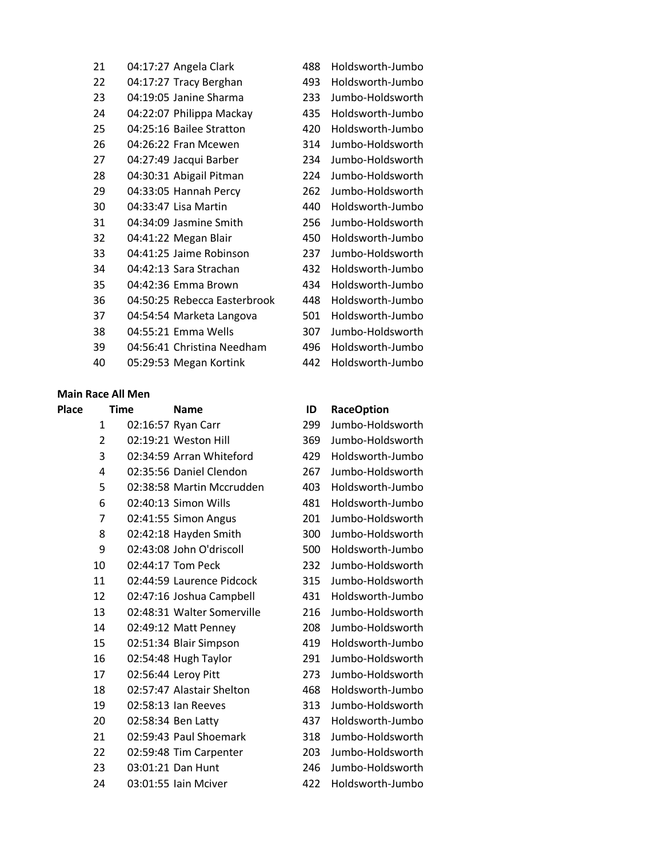| 21 | 04:17:27 Angela Clark        | 488 | Holdsworth-Jumbo |
|----|------------------------------|-----|------------------|
| 22 | 04:17:27 Tracy Berghan       | 493 | Holdsworth-Jumbo |
| 23 | 04:19:05 Janine Sharma       | 233 | Jumbo-Holdsworth |
| 24 | 04:22:07 Philippa Mackay     | 435 | Holdsworth-Jumbo |
| 25 | 04:25:16 Bailee Stratton     | 420 | Holdsworth-Jumbo |
| 26 | 04:26:22 Fran Mcewen         | 314 | Jumbo-Holdsworth |
| 27 | 04:27:49 Jacqui Barber       | 234 | Jumbo-Holdsworth |
| 28 | 04:30:31 Abigail Pitman      | 224 | Jumbo-Holdsworth |
| 29 | 04:33:05 Hannah Percy        | 262 | Jumbo-Holdsworth |
| 30 | 04:33:47 Lisa Martin         | 440 | Holdsworth-Jumbo |
| 31 | 04:34:09 Jasmine Smith       | 256 | Jumbo-Holdsworth |
| 32 | 04:41:22 Megan Blair         | 450 | Holdsworth-Jumbo |
| 33 | 04:41:25 Jaime Robinson      | 237 | Jumbo-Holdsworth |
| 34 | 04:42:13 Sara Strachan       | 432 | Holdsworth-Jumbo |
| 35 | 04:42:36 Emma Brown          | 434 | Holdsworth-Jumbo |
| 36 | 04:50:25 Rebecca Easterbrook | 448 | Holdsworth-Jumbo |
| 37 | 04:54:54 Marketa Langova     | 501 | Holdsworth-Jumbo |
| 38 | 04:55:21 Emma Wells          | 307 | Jumbo-Holdsworth |
| 39 | 04:56:41 Christina Needham   | 496 | Holdsworth-Jumbo |
| 40 | 05:29:53 Megan Kortink       | 442 | Holdsworth-Jumbo |
|    |                              |     |                  |

## **Main Race All Men**

| <b>Place</b> | <b>Time</b>    | <b>Name</b>                | ID  | <b>RaceOption</b> |
|--------------|----------------|----------------------------|-----|-------------------|
|              | 1              | 02:16:57 Ryan Carr         | 299 | Jumbo-Holdsworth  |
|              | $\overline{2}$ | 02:19:21 Weston Hill       | 369 | Jumbo-Holdsworth  |
|              | 3              | 02:34:59 Arran Whiteford   | 429 | Holdsworth-Jumbo  |
|              | 4              | 02:35:56 Daniel Clendon    | 267 | Jumbo-Holdsworth  |
|              | 5              | 02:38:58 Martin Mccrudden  | 403 | Holdsworth-Jumbo  |
|              | 6              | 02:40:13 Simon Wills       | 481 | Holdsworth-Jumbo  |
|              | 7              | 02:41:55 Simon Angus       | 201 | Jumbo-Holdsworth  |
|              | 8              | 02:42:18 Hayden Smith      | 300 | Jumbo-Holdsworth  |
|              | 9              | 02:43:08 John O'driscoll   | 500 | Holdsworth-Jumbo  |
|              | 10             | 02:44:17 Tom Peck          | 232 | Jumbo-Holdsworth  |
|              | 11             | 02:44:59 Laurence Pidcock  | 315 | Jumbo-Holdsworth  |
|              | 12             | 02:47:16 Joshua Campbell   | 431 | Holdsworth-Jumbo  |
|              | 13             | 02:48:31 Walter Somerville | 216 | Jumbo-Holdsworth  |
|              | 14             | 02:49:12 Matt Penney       | 208 | Jumbo-Holdsworth  |
|              | 15             | 02:51:34 Blair Simpson     | 419 | Holdsworth-Jumbo  |
|              | 16             | 02:54:48 Hugh Taylor       | 291 | Jumbo-Holdsworth  |
|              | 17             | 02:56:44 Leroy Pitt        | 273 | Jumbo-Holdsworth  |
|              | 18             | 02:57:47 Alastair Shelton  | 468 | Holdsworth-Jumbo  |
|              | 19             | 02:58:13 Ian Reeves        | 313 | Jumbo-Holdsworth  |
|              | 20             | 02:58:34 Ben Latty         | 437 | Holdsworth-Jumbo  |
|              | 21             | 02:59:43 Paul Shoemark     | 318 | Jumbo-Holdsworth  |
|              | 22             | 02:59:48 Tim Carpenter     | 203 | Jumbo-Holdsworth  |
|              | 23             | 03:01:21 Dan Hunt          | 246 | Jumbo-Holdsworth  |
|              | 24             | 03:01:55 Iain Mciver       | 422 | Holdsworth-Jumbo  |

| 420 | Holdsworth-Jumbo                                                                           |
|-----|--------------------------------------------------------------------------------------------|
| 314 | Jumbo-Holdsworth                                                                           |
| 234 | Jumbo-Holdsworth                                                                           |
| 224 | Jumbo-Holdsworth                                                                           |
| 262 | Jumbo-Holdsworth                                                                           |
| 440 | Holdsworth-Jumbo                                                                           |
| 256 | Jumbo-Holdsworth                                                                           |
| 450 | Holdsworth-Jumbo                                                                           |
| 237 | Jumbo-Holdsworth                                                                           |
| 432 | Holdsworth-Jumbo                                                                           |
| 434 | Holdsworth-Jumbo                                                                           |
| 448 | Holdsworth-Jumbo                                                                           |
| 501 | Holdsworth-Jumbo                                                                           |
| 307 | Jumbo-Holdsworth                                                                           |
| 496 | Holdsworth-Jumbo                                                                           |
|     | $\mathbf{1}$ $\mathbf{1}$ $\mathbf{1}$ $\mathbf{1}$ $\mathbf{1}$ $\mathbf{1}$ $\mathbf{1}$ |

| 299 | Jumbo-Holdsworth |
|-----|------------------|
| 369 | Jumbo-Holdsworth |
| 429 | Holdsworth-Jumbo |
| 267 | Jumbo-Holdsworth |
| 403 | Holdsworth-Jumbo |
| 481 | Holdsworth-Jumbo |
| 201 | Jumbo-Holdsworth |
| 300 | Jumbo-Holdsworth |
| 500 | Holdsworth-Jumbo |
| 232 | Jumbo-Holdsworth |
| 315 | Jumbo-Holdsworth |
| 431 | Holdsworth-Jumbo |
| 216 | Jumbo-Holdsworth |
| 208 | Jumbo-Holdsworth |
| 419 | Holdsworth-Jumbo |
| 291 | Jumbo-Holdsworth |
| 273 | Jumbo-Holdsworth |
| 468 | Holdsworth-Jumbo |
| 313 | Jumbo-Holdsworth |
| 437 | Holdsworth-Jumbo |
| 318 | Jumbo-Holdsworth |
| 203 | Jumbo-Holdsworth |
| 246 | Jumbo-Holdsworth |
| 422 | Holdsworth-Jumbo |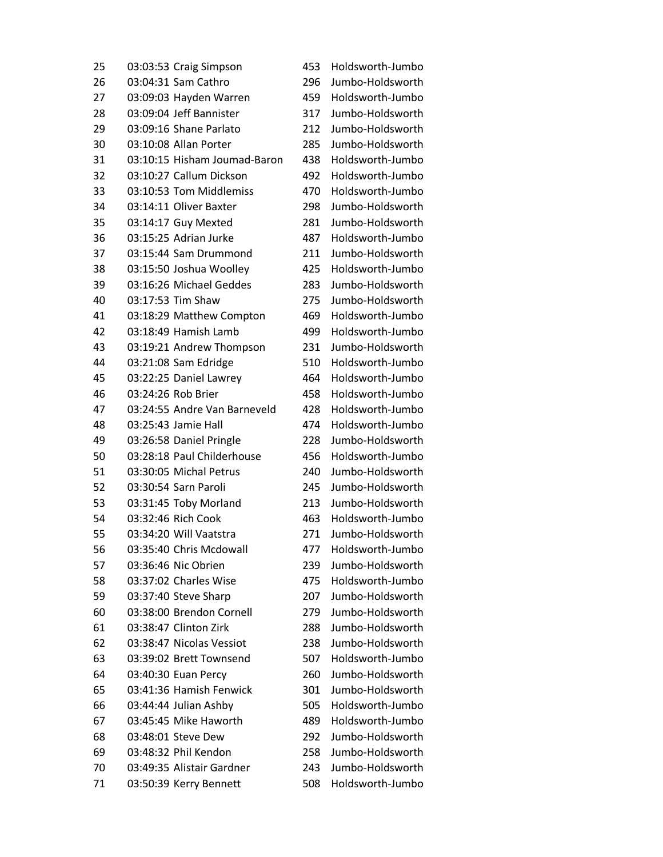| 25 |                    | 03:03:53 Craig Simpson       | 453 | Holdsworth-Jumbo |
|----|--------------------|------------------------------|-----|------------------|
| 26 |                    | 03:04:31 Sam Cathro          | 296 | Jumbo-Holdsworth |
| 27 |                    | 03:09:03 Hayden Warren       | 459 | Holdsworth-Jumbo |
| 28 |                    | 03:09:04 Jeff Bannister      | 317 | Jumbo-Holdsworth |
| 29 |                    | 03:09:16 Shane Parlato       | 212 | Jumbo-Holdsworth |
| 30 |                    | 03:10:08 Allan Porter        | 285 | Jumbo-Holdsworth |
| 31 |                    | 03:10:15 Hisham Joumad-Baron | 438 | Holdsworth-Jumbo |
| 32 |                    | 03:10:27 Callum Dickson      | 492 | Holdsworth-Jumbo |
| 33 |                    | 03:10:53 Tom Middlemiss      | 470 | Holdsworth-Jumbo |
| 34 |                    | 03:14:11 Oliver Baxter       | 298 | Jumbo-Holdsworth |
| 35 |                    | 03:14:17 Guy Mexted          | 281 | Jumbo-Holdsworth |
| 36 |                    | 03:15:25 Adrian Jurke        | 487 | Holdsworth-Jumbo |
| 37 |                    | 03:15:44 Sam Drummond        | 211 | Jumbo-Holdsworth |
| 38 |                    | 03:15:50 Joshua Woolley      | 425 | Holdsworth-Jumbo |
| 39 |                    | 03:16:26 Michael Geddes      | 283 | Jumbo-Holdsworth |
| 40 | 03:17:53 Tim Shaw  |                              | 275 | Jumbo-Holdsworth |
| 41 |                    | 03:18:29 Matthew Compton     | 469 | Holdsworth-Jumbo |
| 42 |                    | 03:18:49 Hamish Lamb         | 499 | Holdsworth-Jumbo |
| 43 |                    | 03:19:21 Andrew Thompson     | 231 | Jumbo-Holdsworth |
| 44 |                    | 03:21:08 Sam Edridge         | 510 | Holdsworth-Jumbo |
| 45 |                    | 03:22:25 Daniel Lawrey       | 464 | Holdsworth-Jumbo |
| 46 | 03:24:26 Rob Brier |                              | 458 | Holdsworth-Jumbo |
| 47 |                    | 03:24:55 Andre Van Barneveld | 428 | Holdsworth-Jumbo |
| 48 |                    | 03:25:43 Jamie Hall          | 474 | Holdsworth-Jumbo |
| 49 |                    | 03:26:58 Daniel Pringle      | 228 | Jumbo-Holdsworth |
| 50 |                    | 03:28:18 Paul Childerhouse   | 456 | Holdsworth-Jumbo |
| 51 |                    | 03:30:05 Michal Petrus       | 240 | Jumbo-Holdsworth |
| 52 |                    | 03:30:54 Sarn Paroli         | 245 | Jumbo-Holdsworth |
| 53 |                    | 03:31:45 Toby Morland        | 213 | Jumbo-Holdsworth |
| 54 | 03:32:46 Rich Cook |                              | 463 | Holdsworth-Jumbo |
| 55 |                    | 03:34:20 Will Vaatstra       | 271 | Jumbo-Holdsworth |
| 56 |                    | 03:35:40 Chris Mcdowall      | 477 | Holdsworth-Jumbo |
| 57 |                    | 03:36:46 Nic Obrien          | 239 | Jumbo-Holdsworth |
| 58 |                    | 03:37:02 Charles Wise        | 475 | Holdsworth-Jumbo |
| 59 |                    | 03:37:40 Steve Sharp         | 207 | Jumbo-Holdsworth |
| 60 |                    | 03:38:00 Brendon Cornell     | 279 | Jumbo-Holdsworth |
| 61 |                    | 03:38:47 Clinton Zirk        | 288 | Jumbo-Holdsworth |
| 62 |                    | 03:38:47 Nicolas Vessiot     | 238 | Jumbo-Holdsworth |
| 63 |                    | 03:39:02 Brett Townsend      | 507 | Holdsworth-Jumbo |
| 64 |                    | 03:40:30 Euan Percy          | 260 | Jumbo-Holdsworth |
| 65 |                    | 03:41:36 Hamish Fenwick      | 301 | Jumbo-Holdsworth |
| 66 |                    | 03:44:44 Julian Ashby        | 505 | Holdsworth-Jumbo |
| 67 |                    | 03:45:45 Mike Haworth        | 489 | Holdsworth-Jumbo |
| 68 |                    | 03:48:01 Steve Dew           | 292 | Jumbo-Holdsworth |
| 69 |                    | 03:48:32 Phil Kendon         | 258 | Jumbo-Holdsworth |
| 70 |                    | 03:49:35 Alistair Gardner    | 243 | Jumbo-Holdsworth |
| 71 |                    | 03:50:39 Kerry Bennett       | 508 | Holdsworth-Jumbo |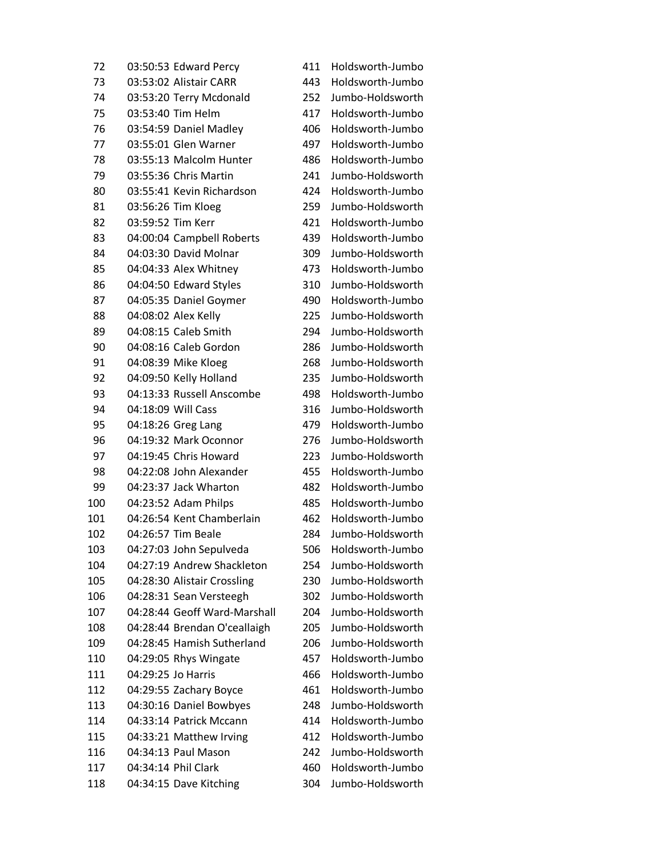03:50:53 Edward Percy 411 Holdsworth-Jumbo 03:53:02 Alistair CARR 443 Holdsworth-Jumbo 03:53:20 Terry Mcdonald 252 Jumbo-Holdsworth 03:53:40 Tim Helm 417 Holdsworth-Jumbo 03:54:59 Daniel Madley 406 Holdsworth-Jumbo 03:55:01 Glen Warner 497 Holdsworth-Jumbo 03:55:13 Malcolm Hunter 486 Holdsworth-Jumbo 03:55:36 Chris Martin 241 Jumbo-Holdsworth 03:55:41 Kevin Richardson 424 Holdsworth-Jumbo 03:56:26 Tim Kloeg 259 Jumbo-Holdsworth 82 03:59:52 Tim Kerr 421 Holdsworth-Jumbo 04:00:04 Campbell Roberts 439 Holdsworth-Jumbo 04:03:30 David Molnar 309 Jumbo-Holdsworth 04:04:33 Alex Whitney 473 Holdsworth-Jumbo 04:04:50 Edward Styles 310 Jumbo-Holdsworth 04:05:35 Daniel Goymer 490 Holdsworth-Jumbo 04:08:02 Alex Kelly 225 Jumbo-Holdsworth 04:08:15 Caleb Smith 294 Jumbo-Holdsworth 04:08:16 Caleb Gordon 286 Jumbo-Holdsworth 04:08:39 Mike Kloeg 268 Jumbo-Holdsworth 04:09:50 Kelly Holland 235 Jumbo-Holdsworth 04:13:33 Russell Anscombe 498 Holdsworth-Jumbo 04:18:09 Will Cass 316 Jumbo-Holdsworth 95 04:18:26 Greg Lang 479 Holdsworth-Jumbo 04:19:32 Mark Oconnor 276 Jumbo-Holdsworth 04:19:45 Chris Howard 223 Jumbo-Holdsworth 04:22:08 John Alexander 455 Holdsworth-Jumbo 04:23:37 Jack Wharton 482 Holdsworth-Jumbo 04:23:52 Adam Philps 485 Holdsworth-Jumbo 04:26:54 Kent Chamberlain 462 Holdsworth-Jumbo 04:26:57 Tim Beale 284 Jumbo-Holdsworth 04:27:03 John Sepulveda 506 Holdsworth-Jumbo 04:27:19 Andrew Shackleton 254 Jumbo-Holdsworth 04:28:30 Alistair Crossling 230 Jumbo-Holdsworth 04:28:31 Sean Versteegh 302 Jumbo-Holdsworth 04:28:44 Geoff Ward-Marshall 204 Jumbo-Holdsworth 04:28:44 Brendan O'ceallaigh 205 Jumbo-Holdsworth 04:28:45 Hamish Sutherland 206 Jumbo-Holdsworth 04:29:05 Rhys Wingate 457 Holdsworth-Jumbo 04:29:25 Jo Harris 466 Holdsworth-Jumbo 04:29:55 Zachary Boyce 461 Holdsworth-Jumbo 04:30:16 Daniel Bowbyes 248 Jumbo-Holdsworth 04:33:14 Patrick Mccann 414 Holdsworth-Jumbo 04:33:21 Matthew Irving 412 Holdsworth-Jumbo 04:34:13 Paul Mason 242 Jumbo-Holdsworth 04:34:14 Phil Clark 460 Holdsworth-Jumbo 04:34:15 Dave Kitching 304 Jumbo-Holdsworth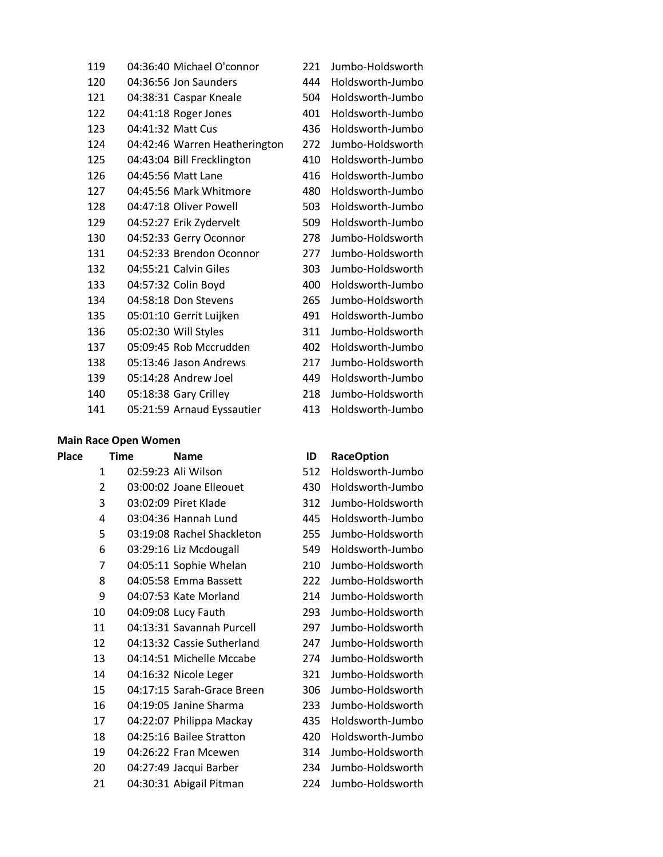| 04:36:40 Michael O'connor     | 221 | Jumbo-Holdsworth |
|-------------------------------|-----|------------------|
| 04:36:56 Jon Saunders         | 444 | Holdsworth-Jumbo |
| 04:38:31 Caspar Kneale        | 504 | Holdsworth-Jumbo |
| 04:41:18 Roger Jones          | 401 | Holdsworth-Jumbo |
| 04:41:32 Matt Cus             | 436 | Holdsworth-Jumbo |
| 04:42:46 Warren Heatherington | 272 | Jumbo-Holdsworth |
| 04:43:04 Bill Frecklington    | 410 | Holdsworth-Jumbo |
| 04:45:56 Matt Lane            | 416 | Holdsworth-Jumbo |
| 04:45:56 Mark Whitmore        | 480 | Holdsworth-Jumbo |
| 04:47:18 Oliver Powell        | 503 | Holdsworth-Jumbo |
| 04:52:27 Erik Zydervelt       | 509 | Holdsworth-Jumbo |
| 04:52:33 Gerry Oconnor        | 278 | Jumbo-Holdsworth |
| 04:52:33 Brendon Oconnor      | 277 | Jumbo-Holdsworth |
| 04:55:21 Calvin Giles         | 303 | Jumbo-Holdsworth |
| 04:57:32 Colin Boyd           | 400 | Holdsworth-Jumbo |
| 04:58:18 Don Stevens          | 265 | Jumbo-Holdsworth |
| 05:01:10 Gerrit Luijken       | 491 | Holdsworth-Jumbo |
| 05:02:30 Will Styles          | 311 | Jumbo-Holdsworth |
| 05:09:45 Rob Mccrudden        | 402 | Holdsworth-Jumbo |
| 05:13:46 Jason Andrews        | 217 | Jumbo-Holdsworth |
| 05:14:28 Andrew Joel          | 449 | Holdsworth-Jumbo |
| 05:18:38 Gary Crilley         | 218 | Jumbo-Holdsworth |
| 05:21:59 Arnaud Eyssautier    | 413 | Holdsworth-Jumbo |
|                               |     |                  |

### **Main Race Open Women**

| <b>Place</b> | <b>Time</b>    | <b>Name</b>                | ID  | <b>RaceOption</b> |
|--------------|----------------|----------------------------|-----|-------------------|
|              | $\mathbf{1}$   | 02:59:23 Ali Wilson        | 512 | Holdsworth-Jumbo  |
|              | $\overline{2}$ | 03:00:02 Joane Elleouet    | 430 | Holdsworth-Jumbo  |
|              | 3              | 03:02:09 Piret Klade       | 312 | Jumbo-Holdsworth  |
|              | 4              | 03:04:36 Hannah Lund       | 445 | Holdsworth-Jumbo  |
|              | 5              | 03:19:08 Rachel Shackleton | 255 | Jumbo-Holdsworth  |
|              | 6              | 03:29:16 Liz Mcdougall     | 549 | Holdsworth-Jumbo  |
|              | 7              | 04:05:11 Sophie Whelan     | 210 | Jumbo-Holdsworth  |
|              | 8              | 04:05:58 Emma Bassett      | 222 | Jumbo-Holdsworth  |
|              | 9              | 04:07:53 Kate Morland      | 214 | Jumbo-Holdsworth  |
|              | 10             | 04:09:08 Lucy Fauth        | 293 | Jumbo-Holdsworth  |
|              | 11             | 04:13:31 Savannah Purcell  | 297 | Jumbo-Holdsworth  |
|              | 12             | 04:13:32 Cassie Sutherland | 247 | Jumbo-Holdsworth  |
|              | 13             | 04:14:51 Michelle Mccabe   | 274 | Jumbo-Holdsworth  |
|              | 14             | 04:16:32 Nicole Leger      | 321 | Jumbo-Holdsworth  |
|              | 15             | 04:17:15 Sarah-Grace Breen | 306 | Jumbo-Holdsworth  |
|              | 16             | 04:19:05 Janine Sharma     | 233 | Jumbo-Holdsworth  |
|              | 17             | 04:22:07 Philippa Mackay   | 435 | Holdsworth-Jumbo  |
|              | 18             | 04:25:16 Bailee Stratton   | 420 | Holdsworth-Jumbo  |
|              | 19             | 04:26:22 Fran Mcewen       | 314 | Jumbo-Holdsworth  |
|              | 20             | 04:27:49 Jacqui Barber     | 234 | Jumbo-Holdsworth  |
|              | 21             | 04:30:31 Abigail Pitman    | 224 | Jumbo-Holdsworth  |

| 512 | Holdsworth-Jumbo |
|-----|------------------|
| 430 | Holdsworth-Jumbo |
| 312 | Jumbo-Holdsworth |
| 445 | Holdsworth-Jumbo |
| 255 | Jumbo-Holdsworth |
| 549 | Holdsworth-Jumbo |
| 210 | Jumbo-Holdsworth |
| 222 | Jumbo-Holdsworth |
| 214 | Jumbo-Holdsworth |
| 293 | Jumbo-Holdsworth |
| 297 | Jumbo-Holdsworth |
| 247 | Jumbo-Holdsworth |
| 274 | Jumbo-Holdsworth |
| 321 | Jumbo-Holdsworth |
| 306 | Jumbo-Holdsworth |
| 233 | Jumbo-Holdsworth |
| 435 | Holdsworth-Jumbo |
| 420 | Holdsworth-Jumbo |
| 314 | Jumbo-Holdsworth |
| 234 | Jumbo-Holdsworth |
| 224 | Jumbo-Holdsworth |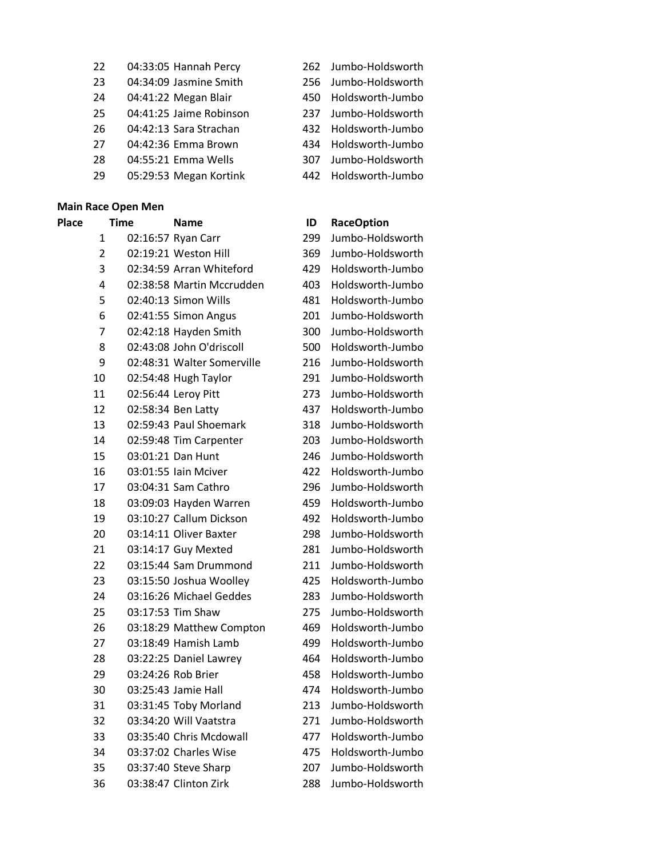- 04:33:05 Hannah Percy 262 Jumbo-Holdsworth
- 04:34:09 Jasmine Smith 256 Jumbo-Holdsworth
- 04:41:22 Megan Blair 450 Holdsworth-Jumbo
- 04:41:25 Jaime Robinson 237 Jumbo-Holdsworth
- 04:42:13 Sara Strachan 432 Holdsworth-Jumbo
- 04:42:36 Emma Brown 434 Holdsworth-Jumbo
- 04:55:21 Emma Wells 307 Jumbo-Holdsworth
- 05:29:53 Megan Kortink 442 Holdsworth-Jumbo

### **Main Race Open Men**

**Place Time Name ID RaceOption** 02:16:57 Ryan Carr 299 Jumbo-Holdsworth 02:19:21 Weston Hill 369 Jumbo-Holdsworth 02:34:59 Arran Whiteford 429 Holdsworth-Jumbo 02:38:58 Martin Mccrudden 403 Holdsworth-Jumbo 02:40:13 Simon Wills 481 Holdsworth-Jumbo 02:41:55 Simon Angus 201 Jumbo-Holdsworth 02:42:18 Hayden Smith 300 Jumbo-Holdsworth 02:43:08 John O'driscoll 500 Holdsworth-Jumbo 02:48:31 Walter Somerville 216 Jumbo-Holdsworth 02:54:48 Hugh Taylor 291 Jumbo-Holdsworth 02:56:44 Leroy Pitt 273 Jumbo-Holdsworth 02:58:34 Ben Latty 437 Holdsworth-Jumbo 02:59:43 Paul Shoemark 318 Jumbo-Holdsworth 02:59:48 Tim Carpenter 203 Jumbo-Holdsworth 03:01:21 Dan Hunt 246 Jumbo-Holdsworth 03:01:55 Iain Mciver 422 Holdsworth-Jumbo 03:04:31 Sam Cathro 296 Jumbo-Holdsworth 03:09:03 Hayden Warren 459 Holdsworth-Jumbo 03:10:27 Callum Dickson 492 Holdsworth-Jumbo 03:14:11 Oliver Baxter 298 Jumbo-Holdsworth 03:14:17 Guy Mexted 281 Jumbo-Holdsworth 03:15:44 Sam Drummond 211 Jumbo-Holdsworth 03:15:50 Joshua Woolley 425 Holdsworth-Jumbo 03:16:26 Michael Geddes 283 Jumbo-Holdsworth 03:17:53 Tim Shaw 275 Jumbo-Holdsworth 03:18:29 Matthew Compton 469 Holdsworth-Jumbo 03:18:49 Hamish Lamb 499 Holdsworth-Jumbo 03:22:25 Daniel Lawrey 464 Holdsworth-Jumbo 03:24:26 Rob Brier 458 Holdsworth-Jumbo 03:25:43 Jamie Hall 474 Holdsworth-Jumbo 03:31:45 Toby Morland 213 Jumbo-Holdsworth 03:34:20 Will Vaatstra 271 Jumbo-Holdsworth 03:35:40 Chris Mcdowall 477 Holdsworth-Jumbo 03:37:02 Charles Wise 475 Holdsworth-Jumbo 03:37:40 Steve Sharp 207 Jumbo-Holdsworth

- 
- 
- 
- 
- 
- 
- 
- 

03:38:47 Clinton Zirk 288 Jumbo-Holdsworth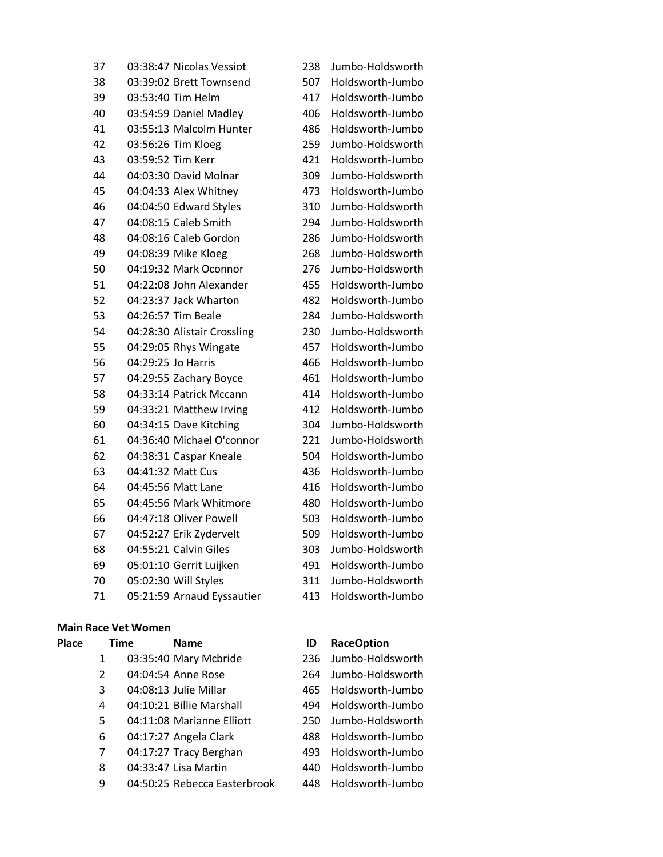| 37 |                   | 03:38:47 Nicolas Vessiot      | 238 | Jumbo-Holdsworth     |
|----|-------------------|-------------------------------|-----|----------------------|
| 38 |                   | 03:39:02 Brett Townsend       | 507 | Holdsworth-Jumbo     |
| 39 |                   | 03:53:40 Tim Helm             | 417 | Holdsworth-Jumbo     |
| 40 |                   | 03:54:59 Daniel Madley        | 406 | Holdsworth-Jumbo     |
| 41 |                   | 03:55:13 Malcolm Hunter       | 486 | Holdsworth-Jumbo     |
| 42 |                   | 03:56:26 Tim Kloeg            | 259 | Jumbo-Holdsworth     |
| 43 | 03:59:52 Tim Kerr |                               | 421 | Holdsworth-Jumbo     |
| 44 |                   | 04:03:30 David Molnar         | 309 | Jumbo-Holdsworth     |
| 45 |                   | 04:04:33 Alex Whitney         | 473 | Holdsworth-Jumbo     |
| 46 |                   | 04:04:50 Edward Styles        | 310 | Jumbo-Holdsworth     |
| 47 |                   | 04:08:15 Caleb Smith          | 294 | Jumbo-Holdsworth     |
| 48 |                   | 04:08:16 Caleb Gordon         | 286 | Jumbo-Holdsworth     |
| 49 |                   | 04:08:39 Mike Kloeg           | 268 | Jumbo-Holdsworth     |
| 50 |                   | 04:19:32 Mark Oconnor         | 276 | Jumbo-Holdsworth     |
| 51 |                   | 04:22:08 John Alexander       | 455 | Holdsworth-Jumbo     |
| 52 |                   | 04:23:37 Jack Wharton         | 482 | Holdsworth-Jumbo     |
| 53 |                   | 04:26:57 Tim Beale            | 284 | Jumbo-Holdsworth     |
| 54 |                   | 04:28:30 Alistair Crossling   | 230 | Jumbo-Holdsworth     |
| 55 |                   | 04:29:05 Rhys Wingate         | 457 | Holdsworth-Jumbo     |
| 56 |                   | 04:29:25 Jo Harris            | 466 | Holdsworth-Jumbo     |
| 57 |                   | 04:29:55 Zachary Boyce        | 461 | Holdsworth-Jumbo     |
| 58 |                   | 04:33:14 Patrick Mccann       | 414 | Holdsworth-Jumbo     |
| 59 |                   | 04:33:21 Matthew Irving       | 412 | Holdsworth-Jumbo     |
| 60 |                   | 04:34:15 Dave Kitching        | 304 | Jumbo-Holdsworth     |
| 61 |                   | 04:36:40 Michael O'connor     | 221 | Jumbo-Holdsworth     |
| 62 |                   | 04:38:31 Caspar Kneale        | 504 | Holdsworth-Jumbo     |
| 63 |                   | 04:41:32 Matt Cus             | 436 | Holdsworth-Jumbo     |
| 64 |                   | 04:45:56 Matt Lane            | 416 | Holdsworth-Jumbo     |
| 65 |                   | 04:45:56 Mark Whitmore        | 480 | Holdsworth-Jumbo     |
| 66 |                   | 04:47:18 Oliver Powell        | 503 | Holdsworth-Jumbo     |
| 67 |                   | 04:52:27 Erik Zydervelt       | 509 | Holdsworth-Jumbo     |
| 68 |                   | 04:55:21 Calvin Giles         | 303 | Jumbo-Holdsworth     |
| 69 |                   | 05:01:10 Gerrit Luijken       | 491 | Holdsworth-Jumbo     |
| 70 |                   | 05:02:30 Will Styles          | 311 | Jumbo-Holdsworth     |
| 71 |                   | $OF 11. E0$ Arnoud Euccoution |     | 112 Holdcwarth lumbo |

# **Main Race Vet Wo**

| viain kace vet women |  |  |
|----------------------|--|--|
|                      |  |  |

- 
- 
- 
- 
- 
- 04:11:08 Marianne Elliott 250 Jumbo-Holdsworth
- 
- 
- 
- 04:50:25 Rebecca Easterbrook 448 Holdsworth-Jumbo

| 37 | 03:38:47 Nicolas Vessiot    | 238 | Jumbo-Holdsworth |
|----|-----------------------------|-----|------------------|
| 38 | 03:39:02 Brett Townsend     | 507 | Holdsworth-Jumbo |
| 39 | 03:53:40 Tim Helm           | 417 | Holdsworth-Jumbo |
| 40 | 03:54:59 Daniel Madley      | 406 | Holdsworth-Jumbo |
| 41 | 03:55:13 Malcolm Hunter     | 486 | Holdsworth-Jumbo |
| 42 | 03:56:26 Tim Kloeg          | 259 | Jumbo-Holdsworth |
| 43 | 03:59:52 Tim Kerr           | 421 | Holdsworth-Jumbo |
| 44 | 04:03:30 David Molnar       | 309 | Jumbo-Holdsworth |
| 45 | 04:04:33 Alex Whitney       | 473 | Holdsworth-Jumbo |
| 46 | 04:04:50 Edward Styles      | 310 | Jumbo-Holdsworth |
| 47 | 04:08:15 Caleb Smith        | 294 | Jumbo-Holdsworth |
| 48 | 04:08:16 Caleb Gordon       | 286 | Jumbo-Holdsworth |
| 49 | 04:08:39 Mike Kloeg         | 268 | Jumbo-Holdsworth |
| 50 | 04:19:32 Mark Oconnor       | 276 | Jumbo-Holdsworth |
| 51 | 04:22:08 John Alexander     | 455 | Holdsworth-Jumbo |
| 52 | 04:23:37 Jack Wharton       | 482 | Holdsworth-Jumbo |
| 53 | 04:26:57 Tim Beale          | 284 | Jumbo-Holdsworth |
| 54 | 04:28:30 Alistair Crossling | 230 | Jumbo-Holdsworth |
| 55 | 04:29:05 Rhys Wingate       | 457 | Holdsworth-Jumbo |
| 56 | 04:29:25 Jo Harris          | 466 | Holdsworth-Jumbo |
| 57 | 04:29:55 Zachary Boyce      | 461 | Holdsworth-Jumbo |
| 58 | 04:33:14 Patrick Mccann     | 414 | Holdsworth-Jumbo |
| 59 | 04:33:21 Matthew Irving     | 412 | Holdsworth-Jumbo |
| 60 | 04:34:15 Dave Kitching      | 304 | Jumbo-Holdsworth |
| 61 | 04:36:40 Michael O'connor   | 221 | Jumbo-Holdsworth |
| 62 | 04:38:31 Caspar Kneale      | 504 | Holdsworth-Jumbo |
| 63 | 04:41:32 Matt Cus           | 436 | Holdsworth-Jumbo |
| 64 | 04:45:56 Matt Lane          | 416 | Holdsworth-Jumbo |
| 65 | 04:45:56 Mark Whitmore      | 480 | Holdsworth-Jumbo |
| 66 | 04:47:18 Oliver Powell      | 503 | Holdsworth-Jumbo |
| 67 | 04:52:27 Erik Zydervelt     | 509 | Holdsworth-Jumbo |
| 68 | 04:55:21 Calvin Giles       | 303 | Jumbo-Holdsworth |
| 69 | 05:01:10 Gerrit Luijken     | 491 | Holdsworth-Jumbo |
| 70 | 05:02:30 Will Styles        | 311 | Jumbo-Holdsworth |
| 71 | 05:21:59 Arnaud Eyssautier  | 413 | Holdsworth-Jumbo |

# **Place Time Name ID RaceOption**

 03:35:40 Mary Mcbride 236 Jumbo-Holdsworth 04:04:54 Anne Rose 264 Jumbo-Holdsworth 04:08:13 Julie Millar 465 Holdsworth-Jumbo 04:10:21 Billie Marshall 494 Holdsworth-Jumbo 04:17:27 Angela Clark 488 Holdsworth-Jumbo 04:17:27 Tracy Berghan 493 Holdsworth-Jumbo 04:33:47 Lisa Martin 440 Holdsworth-Jumbo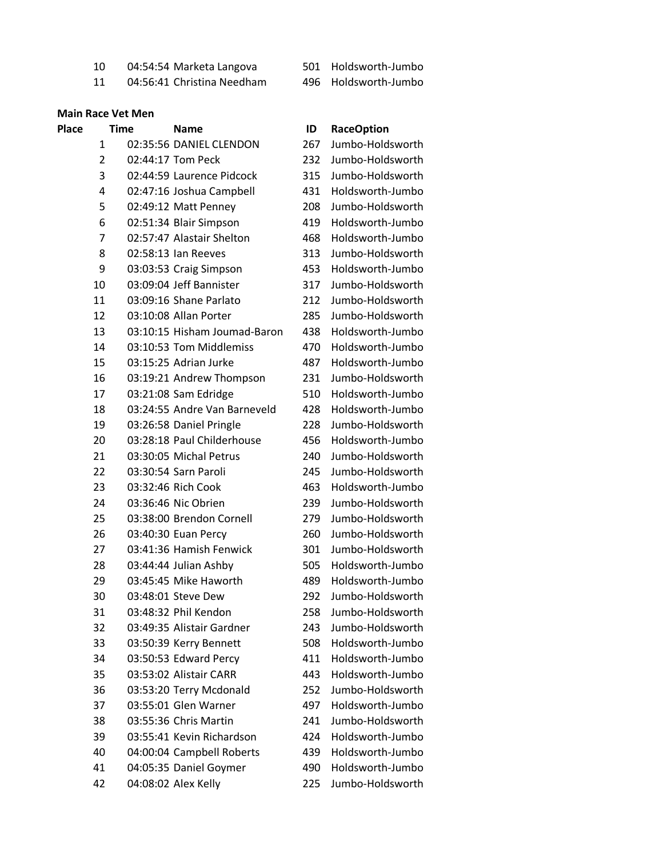04:54:54 Marketa Langova 501 Holdsworth-Jumbo

04:56:41 Christina Needham 496 Holdsworth-Jumbo

### **Main Race Vet Men**

# **Place Time Name ID RaceOption** 02:35:56 DANIEL CLENDON 267 Jumbo-Holdsworth 02:44:17 Tom Peck 232 Jumbo-Holdsworth 02:44:59 Laurence Pidcock 315 Jumbo-Holdsworth 02:47:16 Joshua Campbell 431 Holdsworth-Jumbo 02:49:12 Matt Penney 208 Jumbo-Holdsworth 02:51:34 Blair Simpson 419 Holdsworth-Jumbo 02:57:47 Alastair Shelton 468 Holdsworth-Jumbo 02:58:13 Ian Reeves 313 Jumbo-Holdsworth 03:03:53 Craig Simpson 453 Holdsworth-Jumbo 03:09:04 Jeff Bannister 317 Jumbo-Holdsworth 03:09:16 Shane Parlato 212 Jumbo-Holdsworth 03:10:08 Allan Porter 285 Jumbo-Holdsworth 03:10:15 Hisham Joumad-Baron 438 Holdsworth-Jumbo 03:10:53 Tom Middlemiss 470 Holdsworth-Jumbo 03:15:25 Adrian Jurke 487 Holdsworth-Jumbo 03:19:21 Andrew Thompson 231 Jumbo-Holdsworth 03:21:08 Sam Edridge 510 Holdsworth-Jumbo 03:24:55 Andre Van Barneveld 428 Holdsworth-Jumbo 03:26:58 Daniel Pringle 228 Jumbo-Holdsworth 03:28:18 Paul Childerhouse 456 Holdsworth-Jumbo 03:30:05 Michal Petrus 240 Jumbo-Holdsworth 03:30:54 Sarn Paroli 245 Jumbo-Holdsworth 03:32:46 Rich Cook 463 Holdsworth-Jumbo 03:36:46 Nic Obrien 239 Jumbo-Holdsworth 03:38:00 Brendon Cornell 279 Jumbo-Holdsworth 03:40:30 Euan Percy 260 Jumbo-Holdsworth 03:41:36 Hamish Fenwick 301 Jumbo-Holdsworth 03:44:44 Julian Ashby 505 Holdsworth-Jumbo 03:45:45 Mike Haworth 489 Holdsworth-Jumbo 03:48:01 Steve Dew 292 Jumbo-Holdsworth 03:48:32 Phil Kendon 258 Jumbo-Holdsworth 03:49:35 Alistair Gardner 243 Jumbo-Holdsworth 03:50:39 Kerry Bennett 508 Holdsworth-Jumbo 03:50:53 Edward Percy 411 Holdsworth-Jumbo 03:53:02 Alistair CARR 443 Holdsworth-Jumbo 03:53:20 Terry Mcdonald 252 Jumbo-Holdsworth 03:55:01 Glen Warner 497 Holdsworth-Jumbo 03:55:36 Chris Martin 241 Jumbo-Holdsworth 03:55:41 Kevin Richardson 424 Holdsworth-Jumbo 04:00:04 Campbell Roberts 439 Holdsworth-Jumbo 04:05:35 Daniel Goymer 490 Holdsworth-Jumbo

- 
- 

04:08:02 Alex Kelly 225 Jumbo-Holdsworth